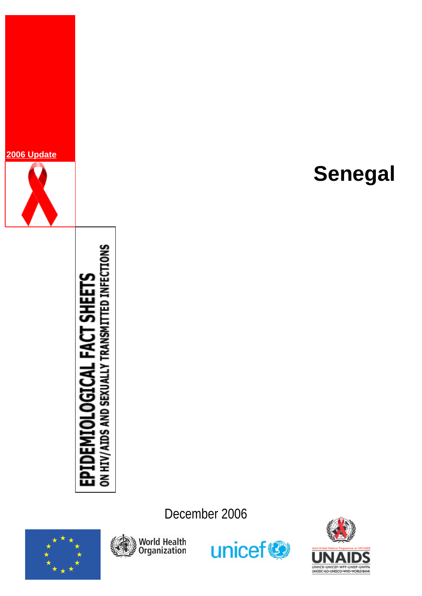

# **TDEMIOLOGICAL FACT SHEETS**<br>HIV/AIDS AND SEXUALLY TRANSMITTED INFECTIONS £ة 홍

**Senegal**

December 2006







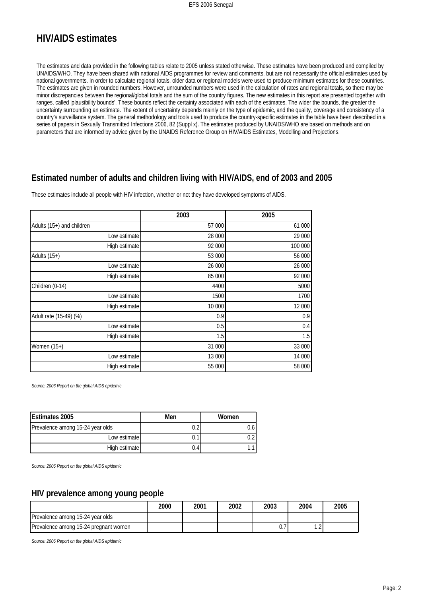# **HIV/AIDS estimates**

The estimates and data provided in the following tables relate to 2005 unless stated otherwise. These estimates have been produced and compiled by UNAIDS/WHO. They have been shared with national AIDS programmes for review and comments, but are not necessarily the official estimates used by national governments. In order to calculate regional totals, older data or regional models were used to produce minimum estimates for these countries. The estimates are given in rounded numbers. However, unrounded numbers were used in the calculation of rates and regional totals, so there may be minor discrepancies between the regional/global totals and the sum of the country figures. The new estimates in this report are presented together with ranges, called 'plausibility bounds'. These bounds reflect the certainty associated with each of the estimates. The wider the bounds, the greater the uncertainty surrounding an estimate. The extent of uncertainty depends mainly on the type of epidemic, and the quality, coverage and consistency of a country's surveillance system. The general methodology and tools used to produce the country-specific estimates in the table have been described in a series of papers in Sexually Transmitted Infections 2006, 82 (Suppl x). The estimates produced by UNAIDS/WHO are based on methods and on parameters that are informed by advice given by the UNAIDS Reference Group on HIV/AIDS Estimates, Modelling and Projections.

#### **Estimated number of adults and children living with HIV/AIDS, end of 2003 and 2005**

These estimates include all people with HIV infection, whether or not they have developed symptoms of AIDS.

|                           | 2003   | 2005    |
|---------------------------|--------|---------|
| Adults (15+) and children | 57 000 | 61 000  |
| Low estimate              | 28 000 | 29 000  |
| High estimate             | 92 000 | 100 000 |
| Adults $(15+)$            | 53 000 | 56 000  |
| Low estimate              | 26 000 | 26 000  |
| High estimate             | 85 000 | 92 000  |
| Children (0-14)           | 4400   | 5000    |
| Low estimate              | 1500   | 1700    |
| High estimate             | 10 000 | 12 000  |
| Adult rate (15-49) (%)    | 0.9    | 0.9     |
| Low estimate              | 0.5    | 0.4     |
| High estimate             | 1.5    | 1.5     |
| Women $(15+)$             | 31 000 | 33 000  |
| Low estimate              | 13 000 | 14 000  |
| High estimate             | 55 000 | 58 000  |

*Source: 2006 Report on the global AIDS epidemic*

| Estimates 2005                   | Men | Women |
|----------------------------------|-----|-------|
| Prevalence among 15-24 year olds |     |       |
| Low estimate                     | 0.1 |       |
| High estimate                    | 0.4 |       |

*Source: 2006 Report on the global AIDS epidemic*

#### **HIV prevalence among young people**

|                                       | 2000 | 2001 | 2002 | 2003 | 2004 | 2005 |
|---------------------------------------|------|------|------|------|------|------|
| Prevalence among 15-24 year olds      |      |      |      |      |      |      |
| Prevalence among 15-24 pregnant women |      |      |      |      | $-$  |      |

*Source: 2006 Report on the global AIDS epidemic*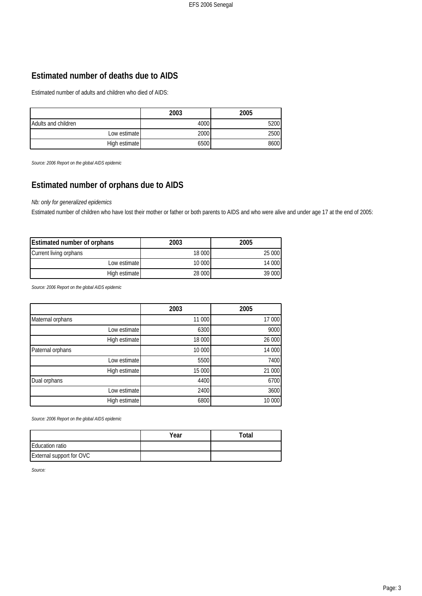# **Estimated number of deaths due to AIDS**

Estimated number of adults and children who died of AIDS:

|                     | 2003 | 2005 |
|---------------------|------|------|
| Adults and children | 4000 | 5200 |
| Low estimate        | 2000 | 2500 |
| High estimate       | 6500 | 8600 |

*Source: 2006 Report on the global AIDS epidemic*

# **Estimated number of orphans due to AIDS**

#### *Nb: only for generalized epidemics*

Estimated number of children who have lost their mother or father or both parents to AIDS and who were alive and under age 17 at the end of 2005:

| Estimated number of orphans | 2003   | 2005   |
|-----------------------------|--------|--------|
| Current living orphans      | 18 000 | 25 000 |
| Low estimate                | 10 000 | 14 000 |
| High estimate               | 28 000 | 39 000 |

*Source: 2006 Report on the global AIDS epidemic*

|                  | 2003   | 2005   |
|------------------|--------|--------|
| Maternal orphans | 11 000 | 17 000 |
| Low estimate     | 6300   | 9000   |
| High estimate    | 18 000 | 26 000 |
| Paternal orphans | 10 000 | 14 000 |
| Low estimate     | 5500   | 7400   |
| High estimate    | 15 000 | 21 000 |
| Dual orphans     | 4400   | 6700   |
| Low estimate     | 2400   | 3600   |
| High estimate    | 6800   | 10 000 |

*Source: 2006 Report on the global AIDS epidemic*

|                          | Year | Total |
|--------------------------|------|-------|
| <b>Education ratio</b>   |      |       |
| External support for OVC |      |       |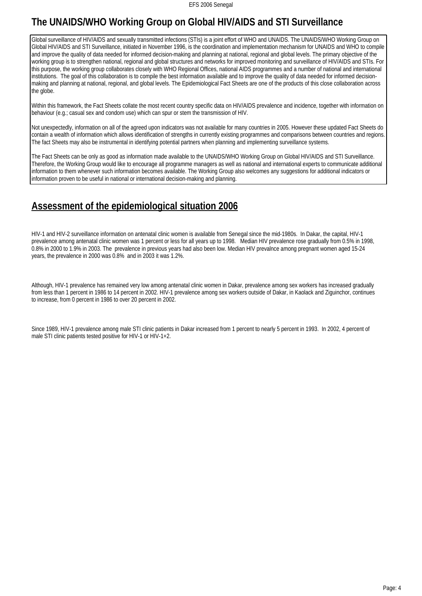# **The UNAIDS/WHO Working Group on Global HIV/AIDS and STI Surveillance**

Global surveillance of HIV/AIDS and sexually transmitted infections (STIs) is a joint effort of WHO and UNAIDS. The UNAIDS/WHO Working Group on Global HIV/AIDS and STI Surveillance, initiated in November 1996, is the coordination and implementation mechanism for UNAIDS and WHO to compile and improve the quality of data needed for informed decision-making and planning at national, regional and global levels. The primary objective of the working group is to strengthen national, regional and global structures and networks for improved monitoring and surveillance of HIV/AIDS and STIs. For this purpose, the working group collaborates closely with WHO Regional Offices, national AIDS programmes and a number of national and international institutions. The goal of this collaboration is to compile the best information available and to improve the quality of data needed for informed decisionmaking and planning at national, regional, and global levels. The Epidemiological Fact Sheets are one of the products of this close collaboration across the globe.

Within this framework, the Fact Sheets collate the most recent country specific data on HIV/AIDS prevalence and incidence, together with information on behaviour (e.g.; casual sex and condom use) which can spur or stem the transmission of HIV.

Not unexpectedly, information on all of the agreed upon indicators was not available for many countries in 2005. However these updated Fact Sheets do contain a wealth of information which allows identification of strengths in currently existing programmes and comparisons between countries and regions. The fact Sheets may also be instrumental in identifying potential partners when planning and implementing surveillance systems.

The Fact Sheets can be only as good as information made available to the UNAIDS/WHO Working Group on Global HIV/AIDS and STI Surveillance. Therefore, the Working Group would like to encourage all programme managers as well as national and international experts to communicate additional information to them whenever such information becomes available. The Working Group also welcomes any suggestions for additional indicators or information proven to be useful in national or international decision-making and planning.

# **Assessment of the epidemiological situation 2006**

HIV-1 and HIV-2 surveillance information on antenatal clinic women is available from Senegal since the mid-1980s. In Dakar, the capital, HIV-1 prevalence among antenatal clinic women was 1 percent or less for all years up to 1998. Median HIV prevalence rose gradually from 0.5% in 1998, 0.8% in 2000 to 1.9% in 2003. The prevalence in previous years had also been low. Median HIV prevalnce among pregnant women aged 15-24 years, the prevalence in 2000 was 0.8% and in 2003 it was 1.2%.

Although, HIV-1 prevalence has remained very low among antenatal clinic women in Dakar, prevalence among sex workers has increased gradually from less than 1 percent in 1986 to 14 percent in 2002. HIV-1 prevalence among sex workers outside of Dakar, in Kaolack and Ziguinchor, continues to increase, from 0 percent in 1986 to over 20 percent in 2002.

Since 1989, HIV-1 prevalence among male STI clinic patients in Dakar increased from 1 percent to nearly 5 percent in 1993. In 2002, 4 percent of male STI clinic patients tested positive for HIV-1 or HIV-1+2.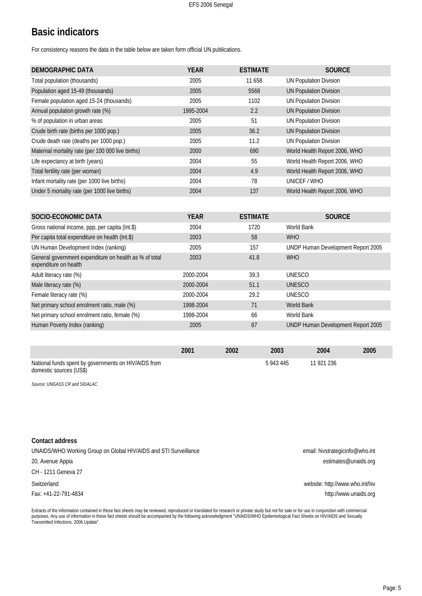# **Basic indicators**

For consistency reasons the data in the table below are taken form official UN publications.

| DEMOGRAPHIC DATA                                  | <b>YEAR</b> | <b>ESTIMATE</b> | <b>SOURCE</b>                 |
|---------------------------------------------------|-------------|-----------------|-------------------------------|
| Total population (thousands)                      | 2005        | 11 658          | <b>UN Population Division</b> |
| Population aged 15-49 (thousands)                 | 2005        | 5568            | <b>UN Population Division</b> |
| Female population aged 15-24 (thousands)          | 2005        | 1102            | <b>UN Population Division</b> |
| Annual population growth rate (%)                 | 1995-2004   | 2.2             | <b>UN Population Division</b> |
| % of population in urban areas                    | 2005        | 51              | <b>UN Population Division</b> |
| Crude birth rate (births per 1000 pop.)           | 2005        | 36.2            | <b>UN Population Division</b> |
| Crude death rate (deaths per 1000 pop.)           | 2005        | 11.2            | <b>UN Population Division</b> |
| Maternal mortality rate (per 100 000 live births) | 2000        | 690             | World Health Report 2006, WHO |
| Life expectancy at birth (years)                  | 2004        | 55              | World Health Report 2006, WHO |
| Total fertility rate (per woman)                  | 2004        | 4.9             | World Health Report 2006, WHO |
| Infant mortality rate (per 1000 live births)      | 2004        | 78              | UNICEF / WHO                  |
| Under 5 mortality rate (per 1000 live births)     | 2004        | 137             | World Health Report 2006, WHO |
|                                                   |             |                 |                               |

| SOCIO-ECONOMIC DATA                                                             | <b>YEAR</b> | <b>ESTIMATE</b> | <b>SOURCE</b>                      |
|---------------------------------------------------------------------------------|-------------|-----------------|------------------------------------|
| Gross national income, ppp, per capita (Int.\$)                                 | 2004        | 1720            | World Bank                         |
| Per capita total expenditure on health (Int.\$)                                 | 2003        | 58              | <b>WHO</b>                         |
| UN Human Development Index (ranking)                                            | 2005        | 157             | UNDP Human Development Report 2005 |
| General government expenditure on health as % of total<br>expenditure on health | 2003        | 41.8            | <b>WHO</b>                         |
| Adult literacy rate (%)                                                         | 2000-2004   | 39.3            | <b>UNESCO</b>                      |
| Male literacy rate (%)                                                          | 2000-2004   | 51.1            | <b>UNESCO</b>                      |
| Female literacy rate (%)                                                        | 2000-2004   | 29.2            | <b>UNESCO</b>                      |
| Net primary school enrolment ratio, male (%)                                    | 1998-2004   | 71              | <b>World Bank</b>                  |
| Net primary school enrolment ratio, female (%)                                  | 1998-2004   | 66              | World Bank                         |
| Human Poverty Index (ranking)                                                   | 2005        | 87              | UNDP Human Development Report 2005 |

|                                                                                 | 2001 | 2002 | 2003    | 2004       | 2005 |
|---------------------------------------------------------------------------------|------|------|---------|------------|------|
| National funds spent by governments on HIV/AIDS from<br>domestic sources (US\$) |      |      | 5943445 | 11 921 236 |      |

*Source: UNGASS CR and SIDALAC*

| Contact address                                                  |                                 |
|------------------------------------------------------------------|---------------------------------|
| UNAIDS/WHO Working Group on Global HIV/AIDS and STI Surveillance | email: hivstrategicinfo@who.int |
| 20, Avenue Appia                                                 | estimates@unaids.org            |
| CH - 1211 Geneva 27                                              |                                 |
| Switzerland                                                      | website: http://www.who.int/hiv |
| Fax: +41-22-791-4834                                             | http://www.unaids.org           |

Extracts of the information contained in these fact sheets may be reviewed, reproduced or translated for research or private study but not for sale or for use in conjunction with commercial purposes. Any use of information in these fact sheets should be accompanied by the following acknowledgment "UNAIDS/WHO Epidemiological Fact Sheets on HIV/AIDS and Sexually Transmitted Infections, 2006 Update".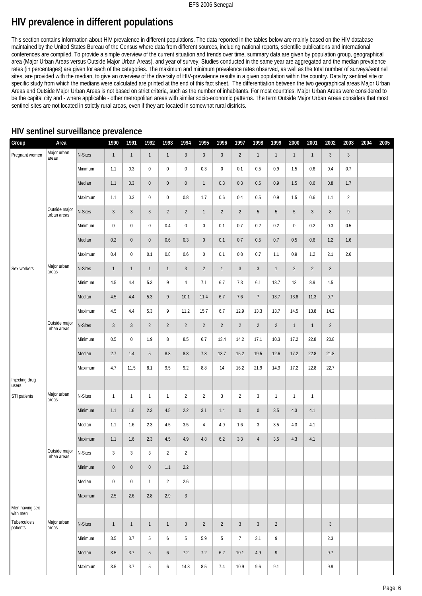# **HIV prevalence in different populations**

This section contains information about HIV prevalence in different populations. The data reported in the tables below are mainly based on the HIV database maintained by the United States Bureau of the Census where data from different sources, including national reports, scientific publications and international conferences are compiled. To provide a simple overview of the current situation and trends over time, summary data are given by population group, geographical area (Major Urban Areas versus Outside Major Urban Areas), and year of survey. Studies conducted in the same year are aggregated and the median prevalence rates (in percentages) are given for each of the categories. The maximum and minimum prevalence rates observed, as well as the total number of surveys/sentinel sites, are provided with the median, to give an overview of the diversity of HIV-prevalence results in a given population within the country. Data by sentinel site or specific study from which the medians were calculated are printed at the end of this fact sheet. The differentiation between the two geographical areas Major Urban Areas and Outside Major Urban Areas is not based on strict criteria, such as the number of inhabitants. For most countries, Major Urban Areas were considered to be the capital city and - where applicable - other metropolitan areas with similar socio-economic patterns. The term Outside Major Urban Areas considers that most sentinel sites are not located in strictly rural areas, even if they are located in somewhat rural districts.

| Group                      | Area                                   |         | 1990           | 1991           | 1992            | 1993                | 1994           | 1995           | 1996           | 1997           | 1998           | 1999           | 2000           | 2001           | 2002           | 2003           | 2004 | 2005 |
|----------------------------|----------------------------------------|---------|----------------|----------------|-----------------|---------------------|----------------|----------------|----------------|----------------|----------------|----------------|----------------|----------------|----------------|----------------|------|------|
|                            |                                        |         |                |                |                 |                     |                |                |                |                |                |                |                |                |                |                |      |      |
| Pregnant women             | Major urban<br>areas                   | N-Sites | $\mathbf{1}$   | $\overline{1}$ | $\mathbf{1}$    | $\mathbf{1}$        | $\mathfrak{Z}$ | $\overline{3}$ | $\mathfrak{Z}$ | $\overline{2}$ | $\mathbf{1}$   | $\mathbf{1}$   | $\mathbf{1}$   | $\mathbf{1}$   | $\sqrt{3}$     | $\mathbf{3}$   |      |      |
|                            |                                        | Minimum | 1.1            | 0.3            | $\mathbf 0$     | $\pmb{0}$           | $\pmb{0}$      | 0.3            | $\mathbf 0$    | 0.1            | 0.5            | 0.9            | 1.5            | 0.6            | 0.4            | 0.7            |      |      |
|                            |                                        | Median  | 1.1            | 0.3            | $\mathbf 0$     | $\pmb{0}$           | $\pmb{0}$      | $\mathbf{1}$   | 0.3            | 0.3            | 0.5            | 0.9            | 1.5            | 0.6            | 0.8            | 1.7            |      |      |
|                            |                                        | Maximum | 1.1            | 0.3            | $\pmb{0}$       | $\pmb{0}$           | $0.8\,$        | 1.7            | 0.6            | 0.4            | 0.5            | 0.9            | 1.5            | 0.6            | 1.1            | $\overline{2}$ |      |      |
|                            | Outside major<br>urban areas           | N-Sites | $\mathfrak{Z}$ | $\mathbf{3}$   | $\mathfrak{Z}$  | $\overline{2}$      | $\overline{2}$ | $\mathbf{1}$   | $\overline{2}$ | $\overline{2}$ | 5              | 5              | 5              | $\mathbf{3}$   | $8\phantom{1}$ | 9              |      |      |
|                            |                                        | Minimum | $\pmb{0}$      | $\pmb{0}$      | $\pmb{0}$       | 0.4                 | $\pmb{0}$      | $\bf 0$        | 0.1            | 0.7            | 0.2            | 0.2            | $\mathbf 0$    | 0.2            | 0.3            | 0.5            |      |      |
|                            |                                        | Median  | 0.2            | $\pmb{0}$      | $\pmb{0}$       | 0.6                 | 0.3            | $\pmb{0}$      | 0.1            | 0.7            | 0.5            | 0.7            | $0.5\,$        | 0.6            | 1.2            | 1.6            |      |      |
|                            |                                        | Maximum | 0.4            | $\pmb{0}$      | 0.1             | $0.8\,$             | 0.6            | $\pmb{0}$      | 0.1            | 0.8            | 0.7            | 1.1            | 0.9            | 1.2            | 2.1            | 2.6            |      |      |
| Sex workers                | Major urban<br>areas                   | N-Sites | $\mathbf{1}$   | $\mathbf{1}$   | $\mathbf{1}$    | $\mathbf{1}$        | $\mathfrak{Z}$ | $\sqrt{2}$     | $\mathbf{1}$   | $\mathbf{3}$   | $\mathfrak{Z}$ | $\mathbf{1}$   | $\overline{2}$ | $\overline{2}$ | $\overline{3}$ |                |      |      |
|                            |                                        | Minimum | 4.5            | 4.4            | 5.3             | 9                   | $\overline{4}$ | 7.1            | 6.7            | 7.3            | 6.1            | 13.7           | 13             | 8.9            | 4.5            |                |      |      |
|                            |                                        | Median  | 4.5            | 4.4            | 5.3             | 9                   | 10.1           | 11.4           | 6.7            | 7.6            | $\overline{7}$ | 13.7           | 13.8           | 11.3           | 9.7            |                |      |      |
|                            |                                        | Maximum | 4.5            | 4.4            | 5.3             | 9                   | 11.2           | 15.7           | 6.7            | 12.9           | 13.3           | 13.7           | 14.5           | 13.8           | 14.2           |                |      |      |
|                            | Outside major<br>urban areas           | N-Sites | $\mathfrak{Z}$ | $\mathbf{3}$   | $\overline{2}$  | $\overline{2}$      | $\overline{2}$ | $\overline{2}$ | $\overline{2}$ | $\overline{2}$ | $\overline{2}$ | $\overline{2}$ | $\mathbf{1}$   | $\mathbf{1}$   | $\sqrt{2}$     |                |      |      |
|                            |                                        | Minimum | 0.5            | $\pmb{0}$      | 1.9             | 8                   | 8.5            | 6.7            | 13.4           | 14.2           | 17.1           | 10.3           | 17.2           | 22.8           | 20.8           |                |      |      |
|                            |                                        | Median  | 2.7            | 1.4            | 5               | 8.8                 | 8.8            | 7.8            | 13.7           | 15.2           | 19.5           | 12.6           | 17.2           | 22.8           | 21.8           |                |      |      |
|                            |                                        | Maximum | 4.7            | 11.5           | 8.1             | 9.5                 | 9.2            | 8.8            | 14             | 16.2           | 21.9           | 14.9           | 17.2           | 22.8           | 22.7           |                |      |      |
| Injecting drug<br>users    |                                        |         |                |                |                 |                     |                |                |                |                |                |                |                |                |                |                |      |      |
| STI patients               | Major urban<br>areas                   | N-Sites | $\mathbf{1}$   | $\mathbf{1}$   | $\mathbf{1}$    | $\mathbf{1}$        | $\overline{2}$ | $\overline{2}$ | $\mathbf{3}$   | $\overline{2}$ | $\mathbf{3}$   | $\mathbf{1}$   | $\mathbf{1}$   | $\mathbf{1}$   |                |                |      |      |
|                            |                                        | Minimum | 1.1            | 1.6            | 2.3             | 4.5                 | 2.2            | 3.1            | 1.4            | $\pmb{0}$      | $\pmb{0}$      | 3.5            | 4.3            | 4.1            |                |                |      |      |
|                            |                                        | Median  | 1.1            | 1.6            | 2.3             | 4.5                 | 3.5            | $\overline{4}$ | 4.9            | 1.6            | $\mathbf{3}$   | 3.5            | 4.3            | 4.1            |                |                |      |      |
|                            |                                        | Maximum | 1.1            | 1.6            | 2.3             | 4.5                 | 4.9            | 4.8            | 6.2            | 3.3            | $\sqrt{4}$     | 3.5            | 4.3            | 4.1            |                |                |      |      |
|                            | Outside major $N-Sites$<br>urban areas |         | 3 <sup>1</sup> | 3 <sup>3</sup> | $\overline{3}$  | $2^{\circ}$         | $\overline{2}$ |                |                |                |                |                |                |                |                |                |      |      |
|                            |                                        | Minimum | $\mathbf 0$    | $\mathbf 0$    | $\mathbf 0$     | 1.1                 | 2.2            |                |                |                |                |                |                |                |                |                |      |      |
|                            |                                        | Median  | $\pmb{0}$      | $\pmb{0}$      | $\mathbf{1}$    | $\overline{2}$      | 2.6            |                |                |                |                |                |                |                |                |                |      |      |
|                            |                                        | Maximum | 2.5            | 2.6            | 2.8             | 2.9                 | $\mathfrak{Z}$ |                |                |                |                |                |                |                |                |                |      |      |
| Men having sex<br>with men |                                        |         |                |                |                 |                     |                |                |                |                |                |                |                |                |                |                |      |      |
| Tuberculosis<br>patients   | Major urban<br>areas                   | N-Sites | $\mathbf{1}$   | $\mathbf{1}$   | $\mathbf{1}$    | $\mathbf{1}$        | $\mathbf{3}$   | $\overline{2}$ | $\overline{2}$ | $\mathbf{3}$   | $\mathbf{3}$   | $\overline{2}$ |                |                | $\sqrt{3}$     |                |      |      |
|                            |                                        | Minimum | 3.5            | 3.7            | 5               | $\boldsymbol{6}$    | 5              | 5.9            | 5              | $7\phantom{.}$ | 3.1            | 9              |                |                | 2.3            |                |      |      |
|                            |                                        | Median  | 3.5            | 3.7            | 5               | $\ddot{\mathbf{6}}$ | 7.2            | 7.2            | 6.2            | 10.1           | 4.9            | 9              |                |                | 9.7            |                |      |      |
|                            |                                        | Maximum | $3.5\,$        | $3.7\,$        | $5\phantom{.0}$ | $\boldsymbol{6}$    | 14.3           | $8.5\,$        | 7.4            | 10.9           | $9.6\,$        | 9.1            |                |                | 9.9            |                |      |      |

## **HIV sentinel surveillance prevalence**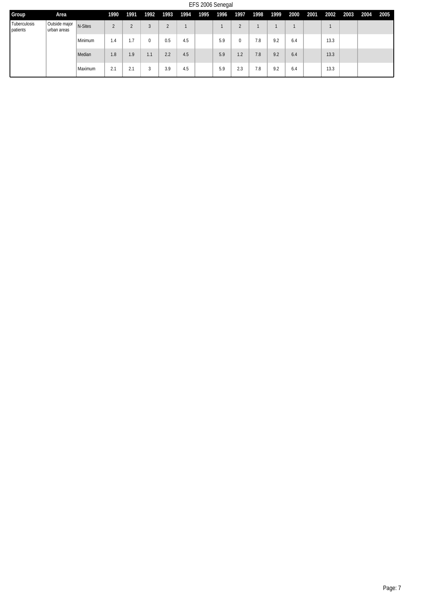EFS 2006 Senegal

| Group                    | Area                         |         | 1990   | 1991 | 1992 | 1993   | 1994 | 1995 | 1996 | 1997 | 1998 | 1999 | 2000 | 2001 | 2002 | 2003 | 2004 | 2005 |
|--------------------------|------------------------------|---------|--------|------|------|--------|------|------|------|------|------|------|------|------|------|------|------|------|
| Tuberculosis<br>patients | Outside major<br>urban areas | N-Sites | $\sim$ |      |      | $\sim$ |      |      |      |      |      |      |      |      |      |      |      |      |
|                          |                              | Minimum | 1.4    |      |      | 0.5    | 4.5  |      | 5.9  | 0    | 7.8  | 9.2  | 6.4  |      | 13.3 |      |      |      |
|                          |                              | Median  | 1.8    | 1.9  | 1.1  | 2.2    | 4.5  |      | 5.9  | 1.2  | 7.8  | 9.2  | 6.4  |      | 13.3 |      |      |      |
|                          |                              | Maximum | 2.1    | 2.1  |      | 3.9    | 4.5  |      | 5.9  | 2.3  | 7.8  | 9.2  | 6.4  |      | 13.3 |      |      |      |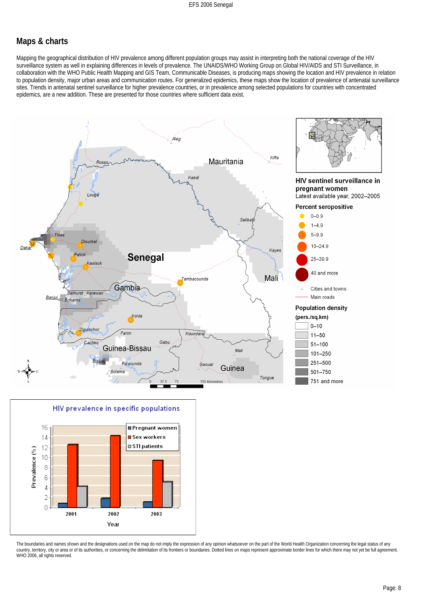#### **Maps & charts**

Mapping the geographical distribution of HIV prevalence among different population groups may assist in interpreting both the national coverage of the HIV surveillance system as well in explaining differences in levels of prevalence. The UNAIDS/WHO Working Group on Global HIV/AIDS and STI Surveillance, in collaboration with the WHO Public Health Mapping and GIS Team, Communicable Diseases, is producing maps showing the location and HIV prevalence in relation to population density, major urban areas and communication routes. For generalized epidemics, these maps show the location of prevalence of antenatal surveillance sites. Trends in antenatal sentinel surveillance for higher prevalence countries, or in prevalence among selected populations for countries with concentrated epidemics, are a new addition. These are presented for those countries where sufficient data exist.





The boundaries and names shown and the designations used on the map do not imply the expression of any opinion whatsoever on the part of the World Health Organization concerning the legal status of any country, territory, city or area or of its authorities, or concerning the delimitation of its frontiers or boundaries. Dotted lines on maps represent approximate border lines for which there may not yet be full agreement. WHO 2006, all rights reserved.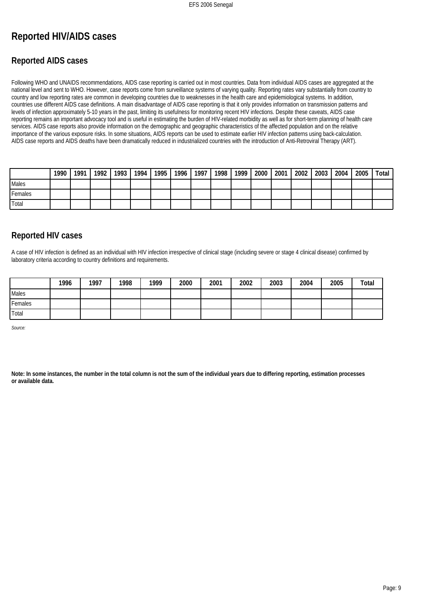# **Reported HIV/AIDS cases**

## **Reported AIDS cases**

Following WHO and UNAIDS recommendations, AIDS case reporting is carried out in most countries. Data from individual AIDS cases are aggregated at the national level and sent to WHO. However, case reports come from surveillance systems of varying quality. Reporting rates vary substantially from country to country and low reporting rates are common in developing countries due to weaknesses in the health care and epidemiological systems. In addition, countries use different AIDS case definitions. A main disadvantage of AIDS case reporting is that it only provides information on transmission patterns and levels of infection approximately 5-10 years in the past, limiting its usefulness for monitoring recent HIV infections. Despite these caveats, AIDS case reporting remains an important advocacy tool and is useful in estimating the burden of HIV-related morbidity as well as for short-term planning of health care services. AIDS case reports also provide information on the demographic and geographic characteristics of the affected population and on the relative importance of the various exposure risks. In some situations, AIDS reports can be used to estimate earlier HIV infection patterns using back-calculation. AIDS case reports and AIDS deaths have been dramatically reduced in industrialized countries with the introduction of Anti-Retroviral Therapy (ART).

|         | 1990 | 1991 | 1992 | 1993 | 1994 | 1995 | 1996 | 1997 <sub>1</sub> | 1998 | 1999 | 2000 | 2001 | 2002 | 2003 | 2004 | 2005 | Total |
|---------|------|------|------|------|------|------|------|-------------------|------|------|------|------|------|------|------|------|-------|
| Males   |      |      |      |      |      |      |      |                   |      |      |      |      |      |      |      |      |       |
| Females |      |      |      |      |      |      |      |                   |      |      |      |      |      |      |      |      |       |
| 'Total  |      |      |      |      |      |      |      |                   |      |      |      |      |      |      |      |      |       |

## **Reported HIV cases**

A case of HIV infection is defined as an individual with HIV infection irrespective of clinical stage (including severe or stage 4 clinical disease) confirmed by laboratory criteria according to country definitions and requirements.

|         | 1996 | 1997 | 1998 | 1999 | 2000 | 2001 | 2002 | 2003 | 2004 | 2005 | Total |
|---------|------|------|------|------|------|------|------|------|------|------|-------|
| Males   |      |      |      |      |      |      |      |      |      |      |       |
| Females |      |      |      |      |      |      |      |      |      |      |       |
| Total   |      |      |      |      |      |      |      |      |      |      |       |

*Source:*

**Note: In some instances, the number in the total column is not the sum of the individual years due to differing reporting, estimation processes or available data.**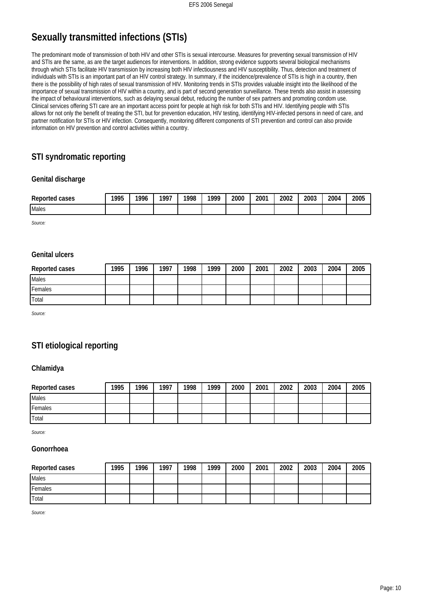# **Sexually transmitted infections (STIs)**

The predominant mode of transmission of both HIV and other STIs is sexual intercourse. Measures for preventing sexual transmission of HIV and STIs are the same, as are the target audiences for interventions. In addition, strong evidence supports several biological mechanisms through which STIs facilitate HIV transmission by increasing both HIV infectiousness and HIV susceptibility. Thus, detection and treatment of individuals with STIs is an important part of an HIV control strategy. In summary, if the incidence/prevalence of STIs is high in a country, then there is the possibility of high rates of sexual transmission of HIV. Monitoring trends in STIs provides valuable insight into the likelihood of the importance of sexual transmission of HIV within a country, and is part of second generation surveillance. These trends also assist in assessing the impact of behavioural interventions, such as delaying sexual debut, reducing the number of sex partners and promoting condom use. Clinical services offering STI care are an important access point for people at high risk for both STIs and HIV. Identifying people with STIs allows for not only the benefit of treating the STI, but for prevention education, HIV testing, identifying HIV-infected persons in need of care, and partner notification for STIs or HIV infection. Consequently, monitoring different components of STI prevention and control can also provide information on HIV prevention and control activities within a country.

# **STI syndromatic reporting**

#### **Genital discharge**

| Reported<br>cases | 1995<br>ن / | 1996 | $100^{-}$ | 1998 | 1000 | 2000 | 2001 | 2002 | 2003 | 2004 | 2005 |
|-------------------|-------------|------|-----------|------|------|------|------|------|------|------|------|
| Males             |             |      |           |      |      |      |      |      |      |      |      |

*Source:*

#### **Genital ulcers**

| Reported cases | 1995 | 1996 | 1997 | 1998 | 1999 | 2000 | 2001 | 2002 | 2003 | 2004 | 2005 |
|----------------|------|------|------|------|------|------|------|------|------|------|------|
| <b>I</b> Males |      |      |      |      |      |      |      |      |      |      |      |
| Females        |      |      |      |      |      |      |      |      |      |      |      |
| l Total        |      |      |      |      |      |      |      |      |      |      |      |

*Source:*

## **STI etiological reporting**

#### **Chlamidya**

| Reported cases | 1995 | 1996 | 1997 | 1998 | 1999 | 2000 | 2001 | 2002 | 2003 | 2004 | 2005 |
|----------------|------|------|------|------|------|------|------|------|------|------|------|
| <b>Males</b>   |      |      |      |      |      |      |      |      |      |      |      |
| Females        |      |      |      |      |      |      |      |      |      |      |      |
| Total          |      |      |      |      |      |      |      |      |      |      |      |

*Source:*

#### **Gonorrhoea**

| Reported cases | 1995 | 1996 | 1997 | 1998 | 1999 | 2000 | 2001 | 2002 | 2003 | 2004 | 2005 |
|----------------|------|------|------|------|------|------|------|------|------|------|------|
| <b>I</b> Males |      |      |      |      |      |      |      |      |      |      |      |
| Females        |      |      |      |      |      |      |      |      |      |      |      |
| <b>Total</b>   |      |      |      |      |      |      |      |      |      |      |      |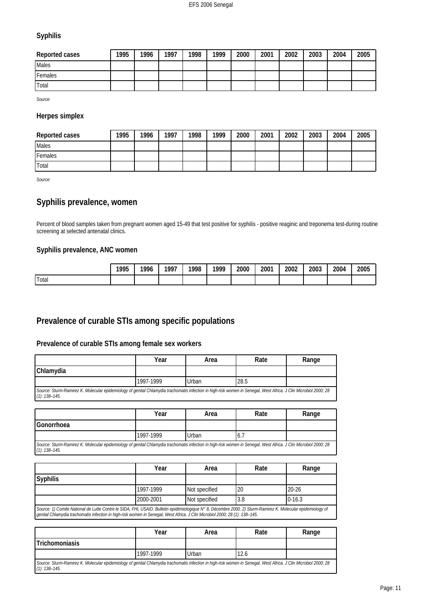#### **Syphilis**

| Reported cases | 1995 | 1996 | 1997 | 1998 | 1999 | 2000 | 2001 | 2002 | 2003 | 2004 | 2005 |
|----------------|------|------|------|------|------|------|------|------|------|------|------|
| <b>Males</b>   |      |      |      |      |      |      |      |      |      |      |      |
| Females        |      |      |      |      |      |      |      |      |      |      |      |
| <b>I</b> Total |      |      |      |      |      |      |      |      |      |      |      |

*Source:*

#### **Herpes simplex**

| Reported cases | 1995 | 1996 | 1997 | 1998 | 1999 | 2000 | 2001 | 2002 | 2003 | 2004 | 2005 |
|----------------|------|------|------|------|------|------|------|------|------|------|------|
| <b>Males</b>   |      |      |      |      |      |      |      |      |      |      |      |
| Females        |      |      |      |      |      |      |      |      |      |      |      |
| Total          |      |      |      |      |      |      |      |      |      |      |      |

*Source:*

## **Syphilis prevalence, women**

Percent of blood samples taken from pregnant women aged 15-49 that test positive for syphilis - positive reaginic and treponema test-during routine screening at selected antenatal clinics.

#### **Syphilis prevalence, ANC women**

|              | 1995 | 1996 | 1007 | 1998 | 1999<br>,, | 2000 | 2001 | 2002 | 2003 | 2004 | 2005 |
|--------------|------|------|------|------|------------|------|------|------|------|------|------|
| <b>Total</b> |      |      |      |      |            |      |      |      |      |      |      |

## **Prevalence of curable STIs among specific populations**

#### **Prevalence of curable STIs among female sex workers**

|                                                                                                                                                                                       | Year      | Area  | Rate | Range |
|---------------------------------------------------------------------------------------------------------------------------------------------------------------------------------------|-----------|-------|------|-------|
| Chlamydia                                                                                                                                                                             |           |       |      |       |
|                                                                                                                                                                                       | 1997-1999 | Urban | 28.5 |       |
| Source: Sturm-Ramirez K. Molecular epidemiology of genital Chlamydia trachomatis infection in high-risk women in Senegal, West Africa. J Clin Microbiol 2000; 28<br>$(1): 138 - 145.$ |           |       |      |       |

|                                                                                                                                                                                       | Year      | Area  | Rate | Range |
|---------------------------------------------------------------------------------------------------------------------------------------------------------------------------------------|-----------|-------|------|-------|
| Gonorrhoea                                                                                                                                                                            |           |       |      |       |
|                                                                                                                                                                                       | 1997-1999 | Urban | 6.1  |       |
| Source: Sturm-Ramirez K. Molecular epidemiology of genital Chlamydia trachomatis infection in high-risk women in Senegal, West Africa. J Clin Microbiol 2000; 28<br>$(1): 138 - 145.$ |           |       |      |       |

|                                                                                                                                                             | Year      | Area          | Rate | Range     |  |
|-------------------------------------------------------------------------------------------------------------------------------------------------------------|-----------|---------------|------|-----------|--|
| <b>Syphilis</b>                                                                                                                                             |           |               |      |           |  |
|                                                                                                                                                             | 1997-1999 | Not specified | 20   | $20 - 26$ |  |
| $0-16.3$<br>2000-2001<br>Not specified<br>3.8                                                                                                               |           |               |      |           |  |
| Source: 1) Comite National de Lutte Contre le SIDA, FHI, USAID. Bulletin epidémiologique N° 8, Décembre 2000. 2) Sturm-Ramirez K. Molecular epidemiology of |           |               |      |           |  |

*genital Chlamydia trachomatis infection in high-risk women in Senegal, West Africa. J Clin Microbiol 2000; 28 (1): 138–145.*

|                                                                                                                                                                                       | Year      | Area  | Rate | Range |
|---------------------------------------------------------------------------------------------------------------------------------------------------------------------------------------|-----------|-------|------|-------|
| <b>Trichomoniasis</b>                                                                                                                                                                 |           |       |      |       |
|                                                                                                                                                                                       | 1997-1999 | Urban | 12.6 |       |
| Source: Sturm-Ramirez K. Molecular epidemiology of genital Chlamydia trachomatis infection in high-risk women in Senegal, West Africa. J Clin Microbiol 2000; 28<br>$(1): 138 - 145.$ |           |       |      |       |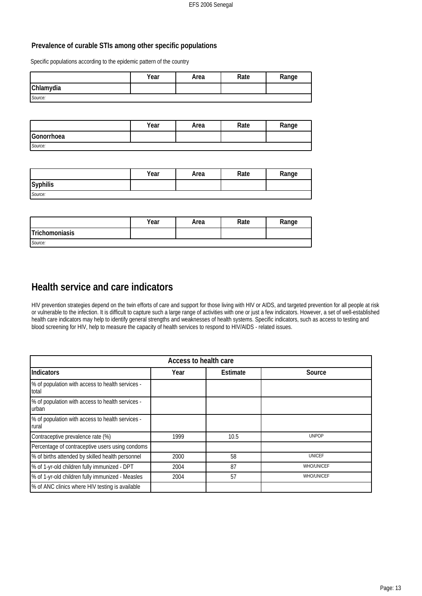#### **Prevalence of curable STIs among other specific populations**

Specific populations according to the epidemic pattern of the country

|           | Year | Area | Rate | Range |
|-----------|------|------|------|-------|
| Chlamydia |      |      |      |       |
| Source:   |      |      |      |       |

|            | Year | Area | Rate | Range |
|------------|------|------|------|-------|
| Gonorrhoea |      |      |      |       |
| Source:    |      |      |      |       |

|          | Year | Area | Rate | Range |
|----------|------|------|------|-------|
| Syphilis |      |      |      |       |
| Source:  |      |      |      |       |

|                | Year | Area | Rate | Range |
|----------------|------|------|------|-------|
| Trichomoniasis |      |      |      |       |
| Source:        |      |      |      |       |

# **Health service and care indicators**

HIV prevention strategies depend on the twin efforts of care and support for those living with HIV or AIDS, and targeted prevention for all people at risk or vulnerable to the infection. It is difficult to capture such a large range of activities with one or just a few indicators. However, a set of well-established health care indicators may help to identify general strengths and weaknesses of health systems. Specific indicators, such as access to testing and blood screening for HIV, help to measure the capacity of health services to respond to HIV/AIDS - related issues.

| Access to health care                                     |      |          |                   |  |
|-----------------------------------------------------------|------|----------|-------------------|--|
| Indicators                                                | Year | Estimate | Source            |  |
| % of population with access to health services -<br>total |      |          |                   |  |
| % of population with access to health services -<br>urban |      |          |                   |  |
| % of population with access to health services -<br>rural |      |          |                   |  |
| Contraceptive prevalence rate (%)                         | 1999 | 10.5     | <b>UNPOP</b>      |  |
| Percentage of contraceptive users using condoms           |      |          |                   |  |
| % of births attended by skilled health personnel          | 2000 | 58       | <b>UNICEF</b>     |  |
| % of 1-yr-old children fully immunized - DPT              | 2004 | 87       | <b>WHO/UNICEF</b> |  |
| % of 1-yr-old children fully immunized - Measles          | 2004 | 57       | <b>WHO/UNICEF</b> |  |
| % of ANC clinics where HIV testing is available           |      |          |                   |  |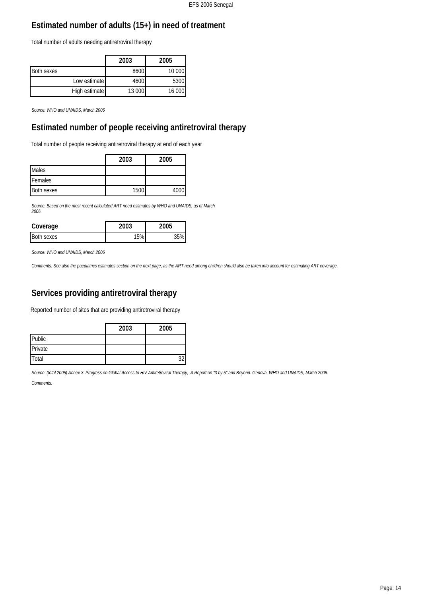# **Estimated number of adults (15+) in need of treatment**

Total number of adults needing antiretroviral therapy

|                   |               | 2003   | 2005   |
|-------------------|---------------|--------|--------|
| <b>Both sexes</b> |               | 8600   | 10 000 |
|                   | Low estimate  | 4600   | 5300   |
|                   | High estimate | 13 000 | 16 000 |

*Source: WHO and UNAIDS, March 2006*

## **Estimated number of people receiving antiretroviral therapy**

Total number of people receiving antiretroviral therapy at end of each year

|                   | 2003 | 2005 |
|-------------------|------|------|
| <b>I</b> Males    |      |      |
| Females           |      |      |
| <b>Both sexes</b> | 1500 | 4000 |

*Source: Based on the most recent calculated ART need estimates by WHO and UNAIDS, as of March 2006.*

| Coverage   | '005 |
|------------|------|
| Both sexes |      |

*Source: WHO and UNAIDS, March 2006*

*Comments: See also the paediatrics estimates section on the next page, as the ART need among children should also be taken into account for estimating ART coverage.*

# **Services providing antiretroviral therapy**

Reported number of sites that are providing antiretroviral therapy

|              | 2003 | 2005 |
|--------------|------|------|
| Public       |      |      |
| Private      |      |      |
| <b>Total</b> |      |      |

*Source: (total 2005) Annex 3: Progress on Global Access to HIV Antiretroviral Therapy, A Report on "3 by 5" and Beyond. Geneva, WHO and UNAIDS, March 2006. Comments:*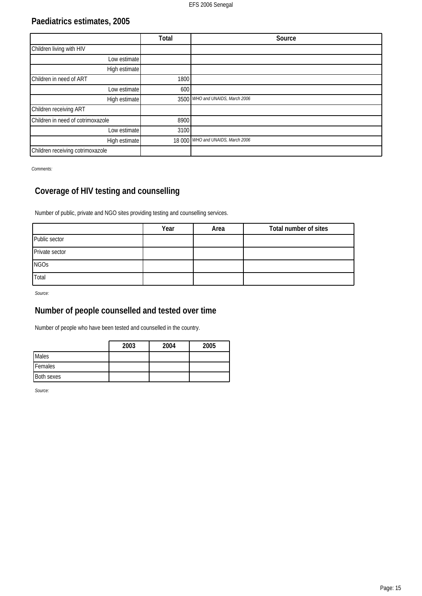# **Paediatrics estimates, 2005**

|                                   | Total | Source                            |
|-----------------------------------|-------|-----------------------------------|
| Children living with HIV          |       |                                   |
| Low estimate                      |       |                                   |
| High estimate                     |       |                                   |
| Children in need of ART           | 1800  |                                   |
| Low estimate                      | 600   |                                   |
| High estimate                     |       | 3500 WHO and UNAIDS, March 2006   |
| Children receiving ART            |       |                                   |
| Children in need of cotrimoxazole | 8900  |                                   |
| Low estimate                      | 3100  |                                   |
| High estimate                     |       | 18 000 WHO and UNAIDS, March 2006 |
| Children receiving cotrimoxazole  |       |                                   |

*Comments:*

# **Coverage of HIV testing and counselling**

Number of public, private and NGO sites providing testing and counselling services.

|                | Year | Area | Total number of sites |
|----------------|------|------|-----------------------|
| Public sector  |      |      |                       |
| Private sector |      |      |                       |
| <b>NGOs</b>    |      |      |                       |
| Total          |      |      |                       |

*Source:*

# **Number of people counselled and tested over time**

Number of people who have been tested and counselled in the country.

|              | 2003 | 2004 | 2005 |
|--------------|------|------|------|
| <b>Males</b> |      |      |      |
| Females      |      |      |      |
| Both sexes   |      |      |      |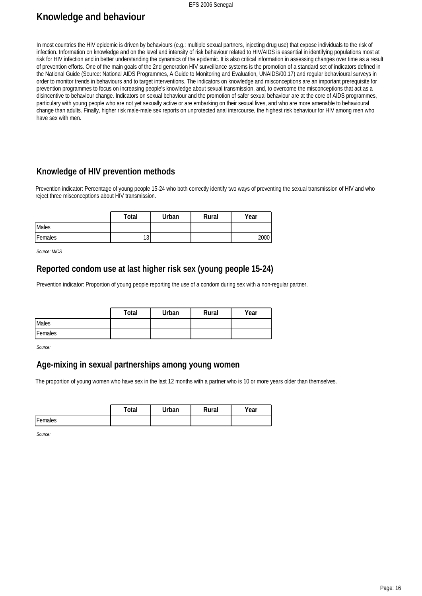#### EFS 2006 Senegal

# **Knowledge and behaviour**

In most countries the HIV epidemic is driven by behaviours (e.g.: multiple sexual partners, injecting drug use) that expose individuals to the risk of infection. Information on knowledge and on the level and intensity of risk behaviour related to HIV/AIDS is essential in identifying populations most at risk for HIV infection and in better understanding the dynamics of the epidemic. It is also critical information in assessing changes over time as a result of prevention efforts. One of the main goals of the 2nd generation HIV surveillance systems is the promotion of a standard set of indicators defined in the National Guide (Source: National AIDS Programmes, A Guide to Monitoring and Evaluation, UNAIDS/00.17) and regular behavioural surveys in order to monitor trends in behaviours and to target interventions. The indicators on knowledge and misconceptions are an important prerequisite for prevention programmes to focus on increasing people's knowledge about sexual transmission, and, to overcome the misconceptions that act as a disincentive to behaviour change. Indicators on sexual behaviour and the promotion of safer sexual behaviour are at the core of AIDS programmes, particulary with young people who are not yet sexually active or are embarking on their sexual lives, and who are more amenable to behavioural change than adults. Finally, higher risk male-male sex reports on unprotected anal intercourse, the highest risk behaviour for HIV among men who have sex with men.

## **Knowledge of HIV prevention methods**

Prevention indicator: Percentage of young people 15-24 who both correctly identify two ways of preventing the sexual transmission of HIV and who reject three misconceptions about HIV transmission.

|         | Total     | Urban | Rural | Year |
|---------|-----------|-------|-------|------|
| Males   |           |       |       |      |
| Females | 10<br>ں ו |       |       | 2000 |

*Source: MICS*

#### **Reported condom use at last higher risk sex (young people 15-24)**

Prevention indicator: Proportion of young people reporting the use of a condom during sex with a non-regular partner.

|         | Total | Urban | Rural | Year |
|---------|-------|-------|-------|------|
| Males   |       |       |       |      |
| Females |       |       |       |      |

*Source:*

## **Age-mixing in sexual partnerships among young women**

The proportion of young women who have sex in the last 12 months with a partner who is 10 or more years older than themselves.

|         | `otal | `Irban | Rural | 'ear |
|---------|-------|--------|-------|------|
| Females |       |        |       |      |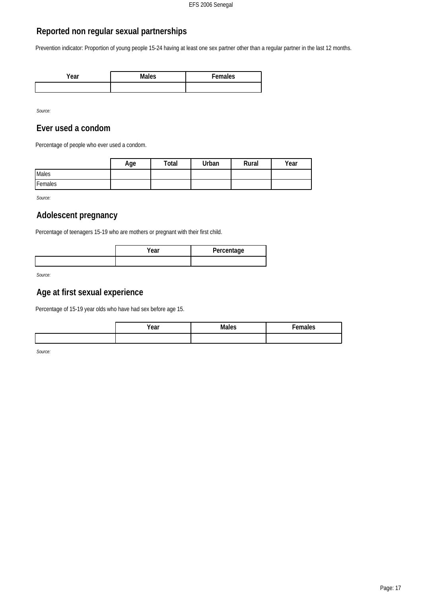## **Reported non regular sexual partnerships**

Prevention indicator: Proportion of young people 15-24 having at least one sex partner other than a regular partner in the last 12 months.

| 'ear | Males | $E$ <sub>emales</sub> |
|------|-------|-----------------------|
|      |       |                       |

*Source:*

#### **Ever used a condom**

Percentage of people who ever used a condom.

|         | Age | Total | Urban | Rural | Year |
|---------|-----|-------|-------|-------|------|
| Males   |     |       |       |       |      |
| Females |     |       |       |       |      |

*Source:*

## **Adolescent pregnancy**

Percentage of teenagers 15-19 who are mothers or pregnant with their first child.

| /ear | Percentage |
|------|------------|
|      |            |

*Source:*

## **Age at first sexual experience**

Percentage of 15-19 year olds who have had sex before age 15.

| Year |  |
|------|--|
|      |  |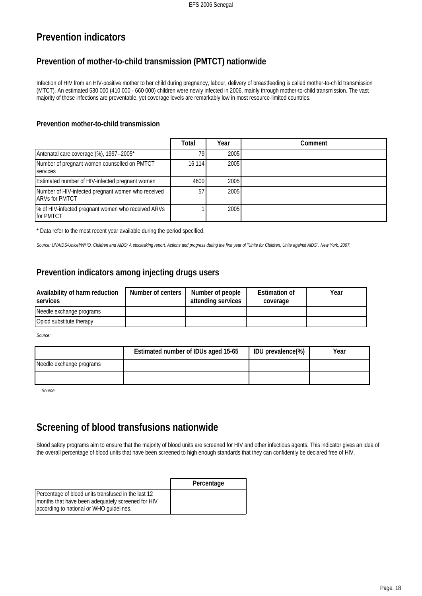# **Prevention indicators**

# **Prevention of mother-to-child transmission (PMTCT) nationwide**

Infection of HIV from an HIV-positive mother to her child during pregnancy, labour, delivery of breastfeeding is called mother-to-child transmission (MTCT). An estimated 530 000 (410 000 - 660 000) children were newly infected in 2006, mainly through mother-to-child transmission. The vast majority of these infections are preventable, yet coverage levels are remarkably low in most resource-limited countries.

#### **Prevention mother-to-child transmission**

|                                                                             | Total  | Year | Comment |
|-----------------------------------------------------------------------------|--------|------|---------|
| Antenatal care coverage (%), 1997--2005*                                    | 79     | 2005 |         |
| Number of pregnant women counselled on PMTCT<br><b>I</b> services           | 16 114 | 2005 |         |
| Estimated number of HIV-infected pregnant women                             | 4600   | 2005 |         |
| Number of HIV-infected pregnant women who received<br><b>ARVs for PMTCT</b> | 57     | 2005 |         |
| 1% of HIV-infected pregnant women who received ARVs<br><b>Ifor PMTCT</b>    |        | 2005 |         |

\* Data refer to the most recent year available during the period specified.

*Source: UNAIDS/Unicef/WHO. Children and AIDS; A stocktaking report, Actions and progress during the first year of "Unite for Children, Unite against AIDS". New York, 2007.*

## **Prevention indicators among injecting drugs users**

| Availability of harm reduction<br>services | Number of centers | Number of people<br>attending services | <b>Estimation of</b><br>coverage | Year |
|--------------------------------------------|-------------------|----------------------------------------|----------------------------------|------|
| Needle exchange programs                   |                   |                                        |                                  |      |
| Opiod substitute therapy                   |                   |                                        |                                  |      |

*Source:*

|                          | Estimated number of IDUs aged 15-65 | IDU prevalence(%) | Year |
|--------------------------|-------------------------------------|-------------------|------|
| Needle exchange programs |                                     |                   |      |
|                          |                                     |                   |      |

*Source:*

# **Screening of blood transfusions nationwide**

Blood safety programs aim to ensure that the majority of blood units are screened for HIV and other infectious agents. This indicator gives an idea of the overall percentage of blood units that have been screened to high enough standards that they can confidently be declared free of HIV.

|                                                                                                                                                        | Percentage |
|--------------------------------------------------------------------------------------------------------------------------------------------------------|------------|
| Percentage of blood units transfused in the last 12<br>I months that have been adequately screened for HIV<br>according to national or WHO guidelines. |            |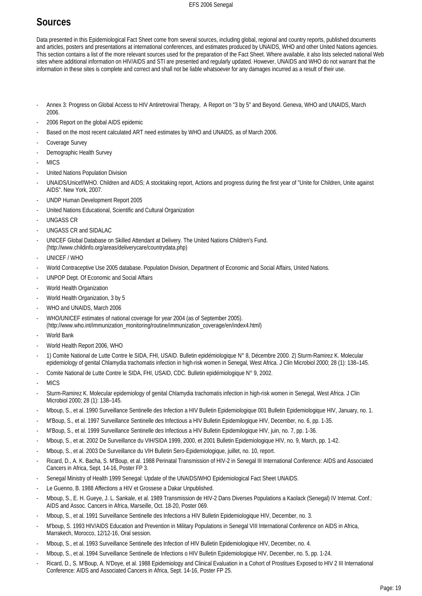# **Sources**

Data presented in this Epidemiological Fact Sheet come from several sources, including global, regional and country reports, published documents and articles, posters and presentations at international conferences, and estimates produced by UNAIDS, WHO and other United Nations agencies. This section contains a list of the more relevant sources used for the preparation of the Fact Sheet. Where available, it also lists selected national Web sites where additional information on HIV/AIDS and STI are presented and regularly updated. However, UNAIDS and WHO do not warrant that the information in these sites is complete and correct and shall not be liable whatsoever for any damages incurred as a result of their use.

- Annex 3: Progress on Global Access to HIV Antiretroviral Therapy, A Report on "3 by 5" and Beyond. Geneva, WHO and UNAIDS, March 2006.
- 2006 Report on the global AIDS epidemic
- Based on the most recent calculated ART need estimates by WHO and UNAIDS, as of March 2006.
- Coverage Survey
- Demographic Health Survey
- **MICS**
- United Nations Population Division
- UNAIDS/Unicef/WHO. Children and AIDS; A stocktaking report, Actions and progress during the first year of "Unite for Children, Unite against AIDS". New York, 2007.
- UNDP Human Development Report 2005
- United Nations Educational, Scientific and Cultural Organization
- UNGASS CR
- UNGASS CR and SIDALAC
- UNICEF Global Database on Skilled Attendant at Delivery. The United Nations Children's Fund.
- (http://www.childinfo.org/areas/deliverycare/countrydata.php)
- UNICEF / WHO
- World Contraceptive Use 2005 database. Population Division, Department of Economic and Social Affairs, United Nations.
- UNPOP Dept. Of Economic and Social Affairs
- World Health Organization
- World Health Organization, 3 by 5
- WHO and UNAIDS, March 2006
- WHO/UNICEF estimates of national coverage for year 2004 (as of September 2005). (http://www.who.int/immunization\_monitoring/routine/immunization\_coverage/en/index4.html)
- World Bank
- World Health Report 2006, WHO
- 1) Comite National de Lutte Contre le SIDA, FHI, USAID. Bulletin epidémiologique N° 8, Décembre 2000. 2) Sturm-Ramirez K. Molecular epidemiology of genital Chlamydia trachomatis infection in high-risk women in Senegal, West Africa. J Clin Microbiol 2000; 28 (1): 138–145.
- Comite National de Lutte Contre le SIDA, FHI, USAID, CDC. Bulletin epidémiologique N° 9, 2002.
- **MICS**
- Sturm-Ramirez K. Molecular epidemiology of genital Chlamydia trachomatis infection in high-risk women in Senegal, West Africa. J Clin Microbiol 2000; 28 (1): 138–145.
- Mboup, S., et al. 1990 Surveillance Sentinelle des Infection a HIV Bulletin Epidemiologique 001 Bulletin Epidemiologique HIV, January, no. 1.
- M'Boup, S., et al. 1997 Surveillance Sentinelle des Infectious a HIV Bulletin Epidemilogique HIV, December, no. 6, pp. 1-35.
- M'Boup, S., et al. 1999 Surveillance Sentinelle des Infectious a HIV Bulletin Epidemilogique HIV, juin, no. 7, pp. 1-36.
- Mboup, S., et at. 2002 De Surveillance du VIH/SIDA 1999, 2000, et 2001 Bulletin Epidemiologique HIV, no. 9, March, pp. 1-42.
- Mboup, S., et al. 2003 De Surveillance du VIH Bulletin Sero-Epidemiologique, juillet, no. 10, report.
- Ricard, D., A. K. Bacha, S. M'Boup, et al. 1988 Perinatal Transmission of HIV-2 in Senegal III International Conference: AIDS and Associated Cancers in Africa, Sept. 14-16, Poster FP 3.
- Senegal Ministry of Health 1999 Senegal: Update of the UNAIDS/WHO Epidemiological Fact Sheet UNAIDS.
- Le Guenno, B. 1988 Affections a HIV et Grossese a Dakar Unpublished.
- Mboup, S., E. H. Gueye, J. L. Sankale, et al. 1989 Transmission de HIV-2 Dans Diverses Populations a Kaolack (Senegal) IV Internat. Conf.: AIDS and Assoc. Cancers in Africa, Marseille, Oct. 18-20, Poster 069.
- Mboup, S., et al. 1991 Surveillance Sentinelle des Infections a HIV Bulletin Epidemiologique HIV, December, no. 3.
- M'boup, S. 1993 HIV/AIDS Education and Prevention in Military Populations in Senegal VIII International Conference on AIDS in Africa, Marrakech, Morocco, 12/12-16, Oral session.
- Mboup, S., et al. 1993 Surveillance Sentinelle des Infection of HIV Bulletin Epidemiologique HIV, December, no. 4.
- Mboup, S., et al. 1994 Surveillance Sentinelle de Infections o HIV Bulletin Epidemiologique HIV, December, no. 5, pp. 1-24.
- Ricard, D., S. M'Boup, A. N'Doye, et al. 1988 Epidemiology and Clinical Evaluation in a Cohort of Prostitues Exposed to HIV 2 III International Conference: AIDS and Associated Cancers in Africa, Sept. 14-16, Poster FP 25.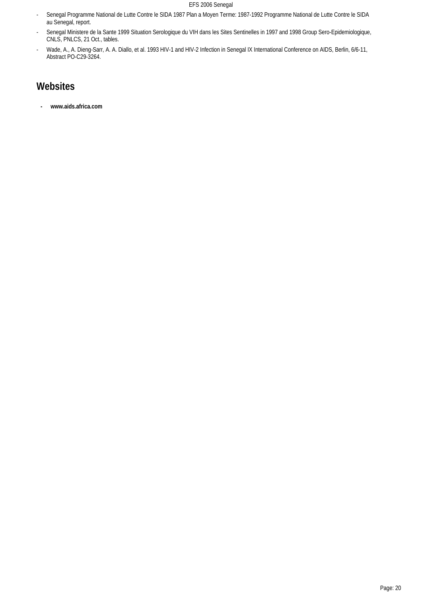#### EFS 2006 Senegal

- Senegal Programme National de Lutte Contre le SIDA 1987 Plan a Moyen Terme: 1987-1992 Programme National de Lutte Contre le SIDA au Senegal, report.
- Senegal Ministere de la Sante 1999 Situation Serologique du VIH dans les Sites Sentinelles in 1997 and 1998 Group Sero-Epidemiologique, CNLS, PNLCS, 21 Oct., tables.
- Wade, A., A. Dieng-Sarr, A. A. Diallo, et al. 1993 HIV-1 and HIV-2 Infection in Senegal IX International Conference on AIDS, Berlin, 6/6-11, Abstract PO-C29-3264.

# **Websites**

**- www.aids.africa.com**